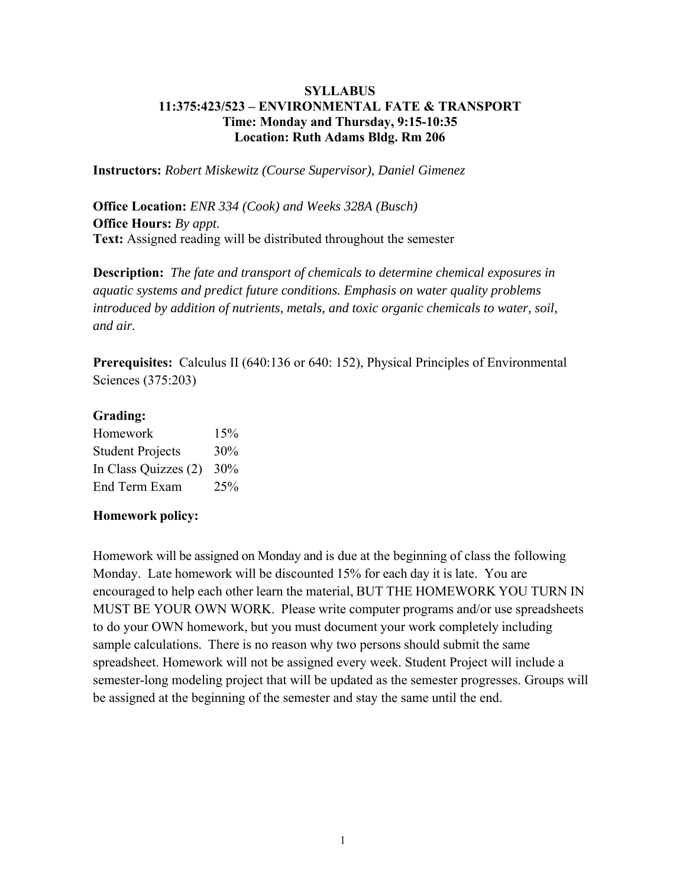## **SYLLABUS 11:375:423/523 – ENVIRONMENTAL FATE & TRANSPORT Time: Monday and Thursday, 9:15-10:35 Location: Ruth Adams Bldg. Rm 206**

**Instructors:** *Robert Miskewitz (Course Supervisor), Daniel Gimenez* 

**Office Location:** *ENR 334 (Cook) and Weeks 328A (Busch)*  **Office Hours:** *By appt.* **Text:** Assigned reading will be distributed throughout the semester

**Description:** *The fate and transport of chemicals to determine chemical exposures in aquatic systems and predict future conditions. Emphasis on water quality problems introduced by addition of nutrients, metals, and toxic organic chemicals to water, soil, and air.*

**Prerequisites:** Calculus II (640:136 or 640:152), Physical Principles of Environmental Sciences (375:203)

## **Grading:**

| Homework                | 15%    |
|-------------------------|--------|
| <b>Student Projects</b> | 30%    |
| In Class Quizzes (2)    | $30\%$ |
| End Term Exam           | 25%    |

## **Homework policy:**

Homework will be assigned on Monday and is due at the beginning of class the following Monday. Late homework will be discounted 15% for each day it is late. You are encouraged to help each other learn the material, BUT THE HOMEWORK YOU TURN IN MUST BE YOUR OWN WORK. Please write computer programs and/or use spreadsheets to do your OWN homework, but you must document your work completely including sample calculations. There is no reason why two persons should submit the same spreadsheet. Homework will not be assigned every week. Student Project will include a semester-long modeling project that will be updated as the semester progresses. Groups will be assigned at the beginning of the semester and stay the same until the end.